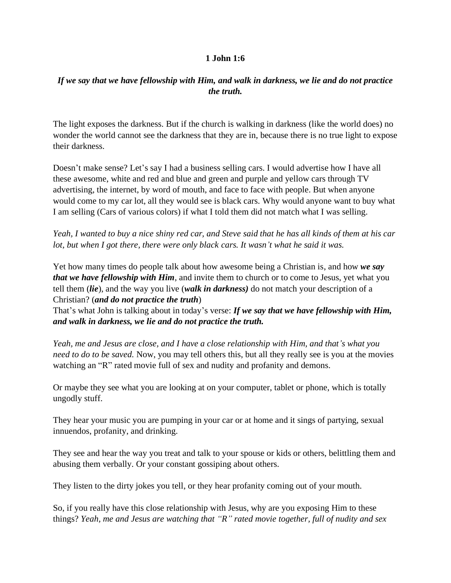## **1 John 1:6**

## *If we say that we have fellowship with Him, and walk in darkness, we lie and do not practice the truth.*

The light exposes the darkness. But if the church is walking in darkness (like the world does) no wonder the world cannot see the darkness that they are in, because there is no true light to expose their darkness.

Doesn't make sense? Let's say I had a business selling cars. I would advertise how I have all these awesome, white and red and blue and green and purple and yellow cars through TV advertising, the internet, by word of mouth, and face to face with people. But when anyone would come to my car lot, all they would see is black cars. Why would anyone want to buy what I am selling (Cars of various colors) if what I told them did not match what I was selling.

*Yeah, I wanted to buy a nice shiny red car, and Steve said that he has all kinds of them at his car lot, but when I got there, there were only black cars. It wasn't what he said it was.*

Yet how many times do people talk about how awesome being a Christian is, and how *we say that we have fellowship with Him*, and invite them to church or to come to Jesus, yet what you tell them (*lie*), and the way you live (*walk in darkness)* do not match your description of a Christian? (*and do not practice the truth*)

That's what John is talking about in today's verse: *If we say that we have fellowship with Him, and walk in darkness, we lie and do not practice the truth.*

*Yeah, me and Jesus are close, and I have a close relationship with Him, and that's what you need to do to be saved.* Now, you may tell others this, but all they really see is you at the movies watching an "R" rated movie full of sex and nudity and profanity and demons.

Or maybe they see what you are looking at on your computer, tablet or phone, which is totally ungodly stuff.

They hear your music you are pumping in your car or at home and it sings of partying, sexual innuendos, profanity, and drinking.

They see and hear the way you treat and talk to your spouse or kids or others, belittling them and abusing them verbally. Or your constant gossiping about others.

They listen to the dirty jokes you tell, or they hear profanity coming out of your mouth.

So, if you really have this close relationship with Jesus, why are you exposing Him to these things? *Yeah, me and Jesus are watching that "R" rated movie together, full of nudity and sex*